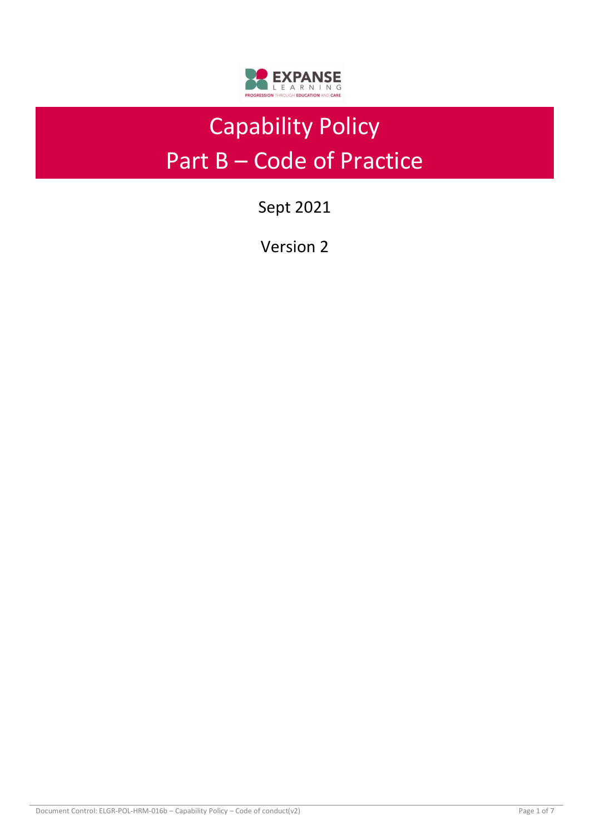

# Capability Policy Part B – Code of Practice

Sept 2021

Version 2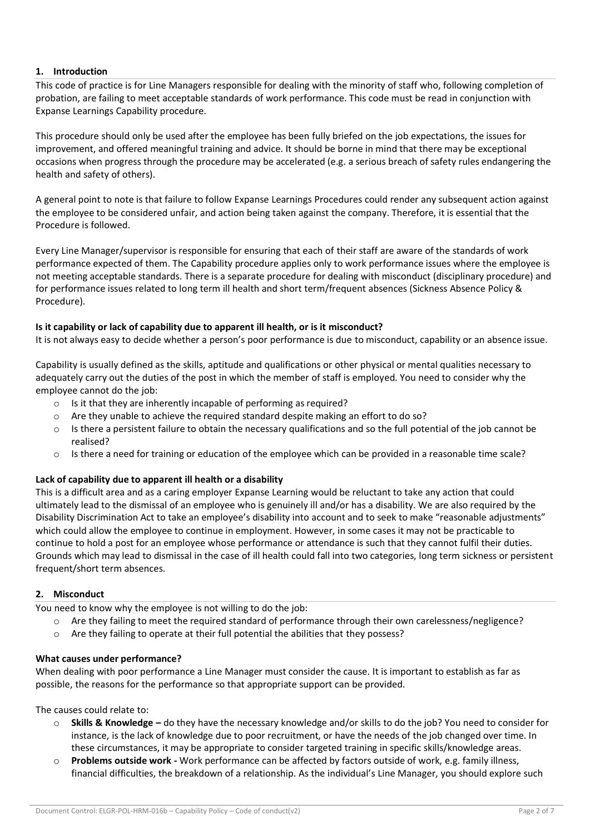# **1. Introduction**

This code of practice is for Line Managers responsible for dealing with the minority of staff who, following completion of probation, are failing to meet acceptable standards of work performance. This code must be read in conjunction with Expanse Learnings Capability procedure.

This procedure should only be used after the employee has been fully briefed on the job expectations, the issues for improvement, and offered meaningful training and advice. It should be borne in mind that there may be exceptional occasions when progress through the procedure may be accelerated (e.g. a serious breach of safety rules endangering the health and safety of others).

A general point to note is that failure to follow Expanse Learnings Procedures could render any subsequent action against the employee to be considered unfair, and action being taken against the company. Therefore, it is essential that the Procedure is followed.

Every Line Manager/supervisor is responsible for ensuring that each of their staff are aware of the standards of work performance expected of them. The Capability procedure applies only to work performance issues where the employee is not meeting acceptable standards. There is a separate procedure for dealing with misconduct (disciplinary procedure) and for performance issues related to long term ill health and short term/frequent absences (Sickness Absence Policy & Procedure).

# **Is it capability or lack of capability due to apparent ill health, or is it misconduct?**

It is not always easy to decide whether a person's poor performance is due to misconduct, capability or an absence issue.

Capability is usually defined as the skills, aptitude and qualifications or other physical or mental qualities necessary to adequately carry out the duties of the post in which the member of staff is employed. You need to consider why the employee cannot do the job:

- o Is it that they are inherently incapable of performing as required?
- o Are they unable to achieve the required standard despite making an effort to do so?
- $\circ$  Is there a persistent failure to obtain the necessary qualifications and so the full potential of the job cannot be realised?
- $\circ$  Is there a need for training or education of the employee which can be provided in a reasonable time scale?

# **Lack of capability due to apparent ill health or a disability**

This is a difficult area and as a caring employer Expanse Learning would be reluctant to take any action that could ultimately lead to the dismissal of an employee who is genuinely ill and/or has a disability. We are also required by the Disability Discrimination Act to take an employee's disability into account and to seek to make "reasonable adjustments" which could allow the employee to continue in employment. However, in some cases it may not be practicable to continue to hold a post for an employee whose performance or attendance is such that they cannot fulfil their duties. Grounds which may lead to dismissal in the case of ill health could fall into two categories, long term sickness or persistent frequent/short term absences.

# **2. Misconduct**

You need to know why the employee is not willing to do the job:

- o Are they failing to meet the required standard of performance through their own carelessness/negligence?
- o Are they failing to operate at their full potential the abilities that they possess?

# **What causes under performance?**

When dealing with poor performance a Line Manager must consider the cause. It is important to establish as far as possible, the reasons for the performance so that appropriate support can be provided.

The causes could relate to:

- o **Skills & Knowledge –** do they have the necessary knowledge and/or skills to do the job? You need to consider for instance, is the lack of knowledge due to poor recruitment, or have the needs of the job changed over time. In these circumstances, it may be appropriate to consider targeted training in specific skills/knowledge areas.
- o **Problems outside work -** Work performance can be affected by factors outside of work, e.g. family illness, financial difficulties, the breakdown of a relationship. As the individual's Line Manager, you should explore such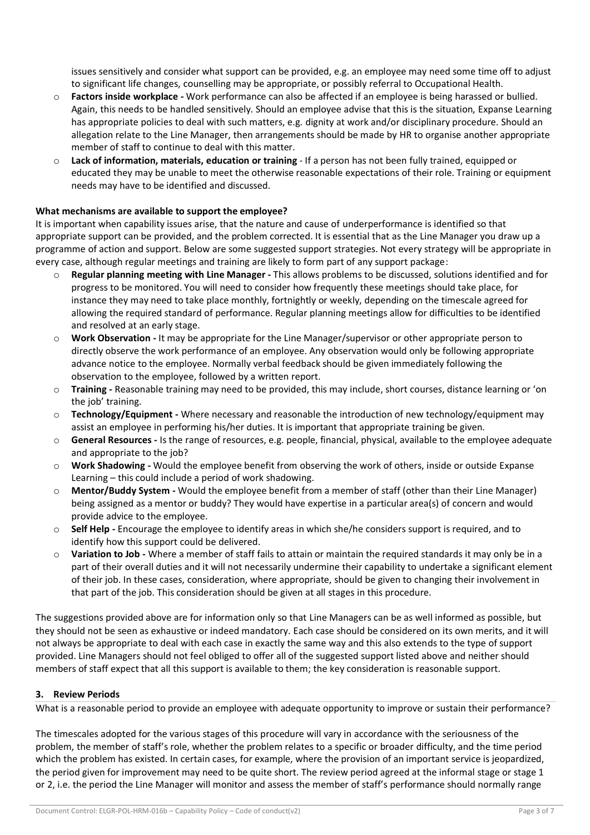issues sensitively and consider what support can be provided, e.g. an employee may need some time off to adjust to significant life changes, counselling may be appropriate, or possibly referral to Occupational Health.

- o **Factors inside workplace -** Work performance can also be affected if an employee is being harassed or bullied. Again, this needs to be handled sensitively. Should an employee advise that this is the situation, Expanse Learning has appropriate policies to deal with such matters, e.g. dignity at work and/or disciplinary procedure. Should an allegation relate to the Line Manager, then arrangements should be made by HR to organise another appropriate member of staff to continue to deal with this matter.
- o **Lack of information, materials, education or training** If a person has not been fully trained, equipped or educated they may be unable to meet the otherwise reasonable expectations of their role. Training or equipment needs may have to be identified and discussed.

# **What mechanisms are available to support the employee?**

It is important when capability issues arise, that the nature and cause of underperformance is identified so that appropriate support can be provided, and the problem corrected. It is essential that as the Line Manager you draw up a programme of action and support. Below are some suggested support strategies. Not every strategy will be appropriate in every case, although regular meetings and training are likely to form part of any support package:

- o **Regular planning meeting with Line Manager -** This allows problems to be discussed, solutions identified and for progress to be monitored. You will need to consider how frequently these meetings should take place, for instance they may need to take place monthly, fortnightly or weekly, depending on the timescale agreed for allowing the required standard of performance. Regular planning meetings allow for difficulties to be identified and resolved at an early stage.
- Work Observation It may be appropriate for the Line Manager/supervisor or other appropriate person to directly observe the work performance of an employee. Any observation would only be following appropriate advance notice to the employee. Normally verbal feedback should be given immediately following the observation to the employee, followed by a written report.
- o **Training -** Reasonable training may need to be provided, this may include, short courses, distance learning or 'on the job' training.
- o **Technology/Equipment -** Where necessary and reasonable the introduction of new technology/equipment may assist an employee in performing his/her duties. It is important that appropriate training be given.
- o **General Resources -** Is the range of resources, e.g. people, financial, physical, available to the employee adequate and appropriate to the job?
- o **Work Shadowing -** Would the employee benefit from observing the work of others, inside or outside Expanse Learning – this could include a period of work shadowing.
- o **Mentor/Buddy System -** Would the employee benefit from a member of staff (other than their Line Manager) being assigned as a mentor or buddy? They would have expertise in a particular area(s) of concern and would provide advice to the employee.
- o **Self Help -** Encourage the employee to identify areas in which she/he considers support is required, and to identify how this support could be delivered.
- o **Variation to Job -** Where a member of staff fails to attain or maintain the required standards it may only be in a part of their overall duties and it will not necessarily undermine their capability to undertake a significant element of their job. In these cases, consideration, where appropriate, should be given to changing their involvement in that part of the job. This consideration should be given at all stages in this procedure.

The suggestions provided above are for information only so that Line Managers can be as well informed as possible, but they should not be seen as exhaustive or indeed mandatory. Each case should be considered on its own merits, and it will not always be appropriate to deal with each case in exactly the same way and this also extends to the type of support provided. Line Managers should not feel obliged to offer all of the suggested support listed above and neither should members of staff expect that all this support is available to them; the key consideration is reasonable support.

# **3. Review Periods**

What is a reasonable period to provide an employee with adequate opportunity to improve or sustain their performance?

The timescales adopted for the various stages of this procedure will vary in accordance with the seriousness of the problem, the member of staff's role, whether the problem relates to a specific or broader difficulty, and the time period which the problem has existed. In certain cases, for example, where the provision of an important service is jeopardized, the period given for improvement may need to be quite short. The review period agreed at the informal stage or stage 1 or 2, i.e. the period the Line Manager will monitor and assess the member of staff's performance should normally range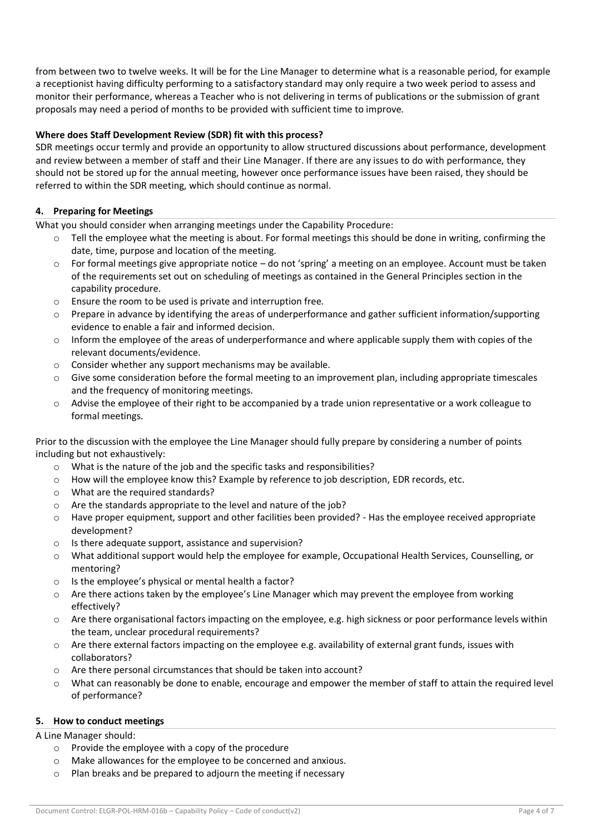from between two to twelve weeks. It will be for the Line Manager to determine what is a reasonable period, for example a receptionist having difficulty performing to a satisfactory standard may only require a two week period to assess and monitor their performance, whereas a Teacher who is not delivering in terms of publications or the submission of grant proposals may need a period of months to be provided with sufficient time to improve.

# **Where does Staff Development Review (SDR) fit with this process?**

SDR meetings occur termly and provide an opportunity to allow structured discussions about performance, development and review between a member of staff and their Line Manager. If there are any issues to do with performance, they should not be stored up for the annual meeting, however once performance issues have been raised, they should be referred to within the SDR meeting, which should continue as normal.

# **4. Preparing for Meetings**

What you should consider when arranging meetings under the Capability Procedure:

- $\circ$  Tell the employee what the meeting is about. For formal meetings this should be done in writing, confirming the date, time, purpose and location of the meeting.
- For formal meetings give appropriate notice  $-$  do not 'spring' a meeting on an employee. Account must be taken of the requirements set out on scheduling of meetings as contained in the General Principles section in the capability procedure.
- o Ensure the room to be used is private and interruption free.
- $\circ$  Prepare in advance by identifying the areas of underperformance and gather sufficient information/supporting evidence to enable a fair and informed decision.
- o Inform the employee of the areas of underperformance and where applicable supply them with copies of the relevant documents/evidence.
- o Consider whether any support mechanisms may be available.
- $\circ$  Give some consideration before the formal meeting to an improvement plan, including appropriate timescales and the frequency of monitoring meetings.
- $\circ$  Advise the employee of their right to be accompanied by a trade union representative or a work colleague to formal meetings.

Prior to the discussion with the employee the Line Manager should fully prepare by considering a number of points including but not exhaustively:

- o What is the nature of the job and the specific tasks and responsibilities?
- o How will the employee know this? Example by reference to job description, EDR records, etc.
- o What are the required standards?
- o Are the standards appropriate to the level and nature of the job?
- o Have proper equipment, support and other facilities been provided? Has the employee received appropriate development?
- o Is there adequate support, assistance and supervision?
- o What additional support would help the employee for example, Occupational Health Services, Counselling, or mentoring?
- o Is the employee's physical or mental health a factor?
- o Are there actions taken by the employee's Line Manager which may prevent the employee from working effectively?
- $\circ$  Are there organisational factors impacting on the employee, e.g. high sickness or poor performance levels within the team, unclear procedural requirements?
- o Are there external factors impacting on the employee e.g. availability of external grant funds, issues with collaborators?
- o Are there personal circumstances that should be taken into account?
- o What can reasonably be done to enable, encourage and empower the member of staff to attain the required level of performance?

# **5. How to conduct meetings**

A Line Manager should:

- o Provide the employee with a copy of the procedure
- o Make allowances for the employee to be concerned and anxious.
- o Plan breaks and be prepared to adjourn the meeting if necessary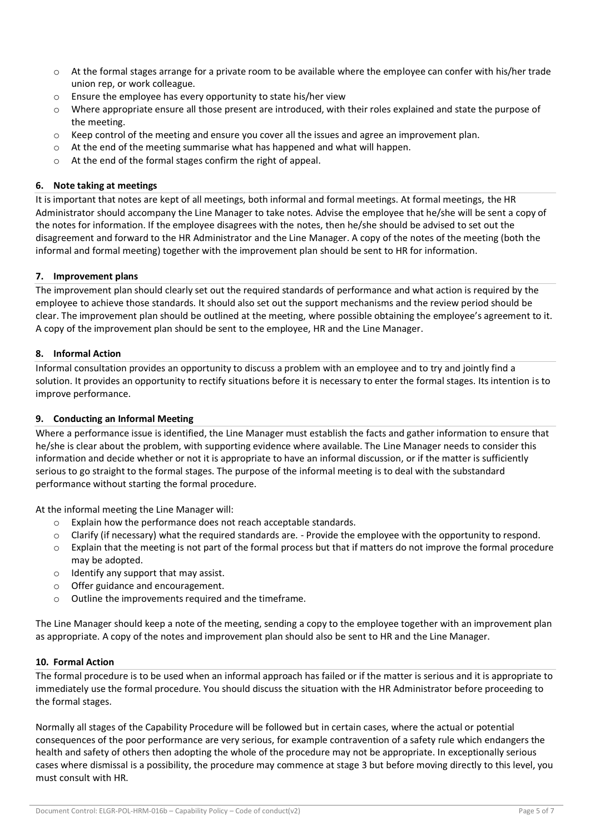- $\circ$  At the formal stages arrange for a private room to be available where the employee can confer with his/her trade union rep, or work colleague.
- o Ensure the employee has every opportunity to state his/her view
- o Where appropriate ensure all those present are introduced, with their roles explained and state the purpose of the meeting.
- o Keep control of the meeting and ensure you cover all the issues and agree an improvement plan.
- $\circ$  At the end of the meeting summarise what has happened and what will happen.
- o At the end of the formal stages confirm the right of appeal.

## **6. Note taking at meetings**

It is important that notes are kept of all meetings, both informal and formal meetings. At formal meetings, the HR Administrator should accompany the Line Manager to take notes. Advise the employee that he/she will be sent a copy of the notes for information. If the employee disagrees with the notes, then he/she should be advised to set out the disagreement and forward to the HR Administrator and the Line Manager. A copy of the notes of the meeting (both the informal and formal meeting) together with the improvement plan should be sent to HR for information.

#### **7. Improvement plans**

The improvement plan should clearly set out the required standards of performance and what action is required by the employee to achieve those standards. It should also set out the support mechanisms and the review period should be clear. The improvement plan should be outlined at the meeting, where possible obtaining the employee's agreement to it. A copy of the improvement plan should be sent to the employee, HR and the Line Manager.

#### **8. Informal Action**

Informal consultation provides an opportunity to discuss a problem with an employee and to try and jointly find a solution. It provides an opportunity to rectify situations before it is necessary to enter the formal stages. Its intention is to improve performance.

## **9. Conducting an Informal Meeting**

Where a performance issue is identified, the Line Manager must establish the facts and gather information to ensure that he/she is clear about the problem, with supporting evidence where available. The Line Manager needs to consider this information and decide whether or not it is appropriate to have an informal discussion, or if the matter is sufficiently serious to go straight to the formal stages. The purpose of the informal meeting is to deal with the substandard performance without starting the formal procedure.

At the informal meeting the Line Manager will:

- o Explain how the performance does not reach acceptable standards.
- o Clarify (if necessary) what the required standards are. Provide the employee with the opportunity to respond.
- o Explain that the meeting is not part of the formal process but that if matters do not improve the formal procedure may be adopted.
- o Identify any support that may assist.
- o Offer guidance and encouragement.
- o Outline the improvements required and the timeframe.

The Line Manager should keep a note of the meeting, sending a copy to the employee together with an improvement plan as appropriate. A copy of the notes and improvement plan should also be sent to HR and the Line Manager.

#### **10. Formal Action**

The formal procedure is to be used when an informal approach has failed or if the matter is serious and it is appropriate to immediately use the formal procedure. You should discuss the situation with the HR Administrator before proceeding to the formal stages.

Normally all stages of the Capability Procedure will be followed but in certain cases, where the actual or potential consequences of the poor performance are very serious, for example contravention of a safety rule which endangers the health and safety of others then adopting the whole of the procedure may not be appropriate. In exceptionally serious cases where dismissal is a possibility, the procedure may commence at stage 3 but before moving directly to this level, you must consult with HR.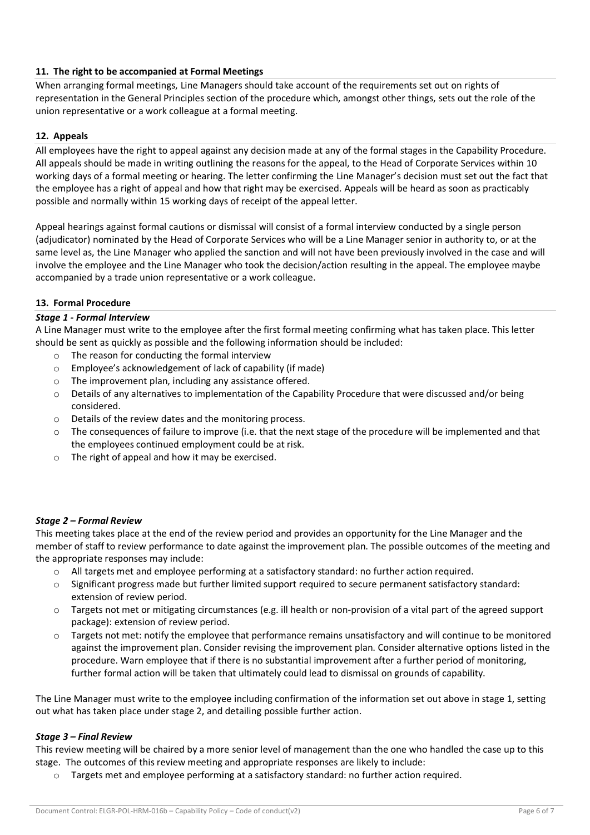# **11. The right to be accompanied at Formal Meetings**

When arranging formal meetings, Line Managers should take account of the requirements set out on rights of representation in the General Principles section of the procedure which, amongst other things, sets out the role of the union representative or a work colleague at a formal meeting.

# **12. Appeals**

All employees have the right to appeal against any decision made at any of the formal stages in the Capability Procedure. All appeals should be made in writing outlining the reasons for the appeal, to the Head of Corporate Services within 10 working days of a formal meeting or hearing. The letter confirming the Line Manager's decision must set out the fact that the employee has a right of appeal and how that right may be exercised. Appeals will be heard as soon as practicably possible and normally within 15 working days of receipt of the appeal letter.

Appeal hearings against formal cautions or dismissal will consist of a formal interview conducted by a single person (adjudicator) nominated by the Head of Corporate Services who will be a Line Manager senior in authority to, or at the same level as, the Line Manager who applied the sanction and will not have been previously involved in the case and will involve the employee and the Line Manager who took the decision/action resulting in the appeal. The employee maybe accompanied by a trade union representative or a work colleague.

# **13. Formal Procedure**

# *Stage 1 - Formal Interview*

A Line Manager must write to the employee after the first formal meeting confirming what has taken place. This letter should be sent as quickly as possible and the following information should be included:

- o The reason for conducting the formal interview
- o Employee's acknowledgement of lack of capability (if made)
- o The improvement plan, including any assistance offered.
- o Details of any alternatives to implementation of the Capability Procedure that were discussed and/or being considered.
- o Details of the review dates and the monitoring process.
- o The consequences of failure to improve (i.e. that the next stage of the procedure will be implemented and that the employees continued employment could be at risk.
- o The right of appeal and how it may be exercised.

#### *Stage 2 – Formal Review*

This meeting takes place at the end of the review period and provides an opportunity for the Line Manager and the member of staff to review performance to date against the improvement plan. The possible outcomes of the meeting and the appropriate responses may include:

- o All targets met and employee performing at a satisfactory standard: no further action required.
- $\circ$  Significant progress made but further limited support required to secure permanent satisfactory standard: extension of review period.
- o Targets not met or mitigating circumstances (e.g. ill health or non-provision of a vital part of the agreed support package): extension of review period.
- $\circ$  Targets not met: notify the employee that performance remains unsatisfactory and will continue to be monitored against the improvement plan. Consider revising the improvement plan. Consider alternative options listed in the procedure. Warn employee that if there is no substantial improvement after a further period of monitoring, further formal action will be taken that ultimately could lead to dismissal on grounds of capability.

The Line Manager must write to the employee including confirmation of the information set out above in stage 1, setting out what has taken place under stage 2, and detailing possible further action.

#### *Stage 3 – Final Review*

This review meeting will be chaired by a more senior level of management than the one who handled the case up to this stage. The outcomes of this review meeting and appropriate responses are likely to include:

o Targets met and employee performing at a satisfactory standard: no further action required.